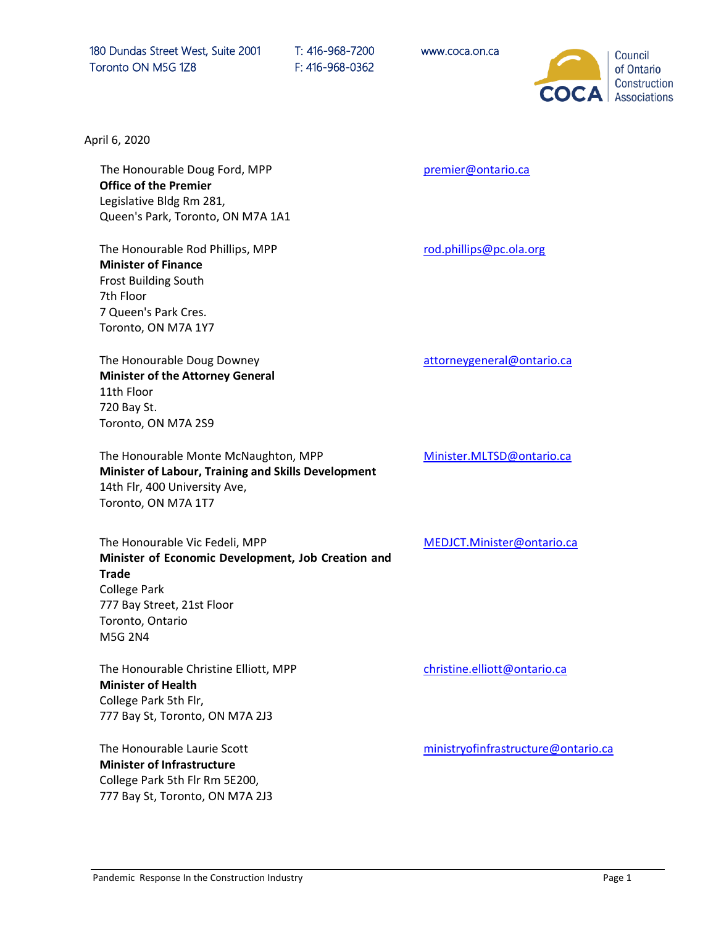180 Dundas Street West, Suite 2001 T: 416-968-7200 www.coca.on.ca Toronto ON M5G 1Z8 F: 416-968-0362



April 6, 2020

The Honourable Doug Ford, MPP **Office of the Premier** Legislative Bldg Rm 281, Queen's Park, Toronto, ON M7A 1A1

The Honourable Rod Phillips, MPP **Minister of Finance**  Frost Building South 7th Floor 7 Queen's Park Cres. Toronto, ON M7A 1Y7

The Honourable Doug Downey **Minister of the Attorney General** 11th Floor 720 Bay St. Toronto, ON M7A 2S9

The Honourable Monte McNaughton, MPP **Minister of Labour, Training and Skills Development** 14th Flr, 400 University Ave, Toronto, ON M7A 1T7

The Honourable Vic Fedeli, MPP **Minister of Economic Development, Job Creation and Trade** College Park 777 Bay Street, 21st Floor Toronto, Ontario M5G 2N4

The Honourable Christine Elliott, MPP **Minister of Health** College Park 5th Flr, 777 Bay St, Toronto, ON M7A 2J3

The Honourable Laurie Scott **Minister of Infrastructure** College Park 5th Flr Rm 5E200, 777 Bay St, Toronto, ON M7A 2J3 premier@ontario.ca

rod.phillips@pc.ola.org

attorneygeneral@ontario.ca

[Minister.MLTSD@ontario.ca](mailto:Minister.MLTSD@ontario.ca)

MEDJCT.Minister@ontario.ca

[christine.elliott@ontario.ca](mailto:%20christine.elliott@ontario.ca)

[ministryofinfrastructure@ontario.ca](https://www.lauriescottmpp.com/ministryofinfrastructure@ontario.ca)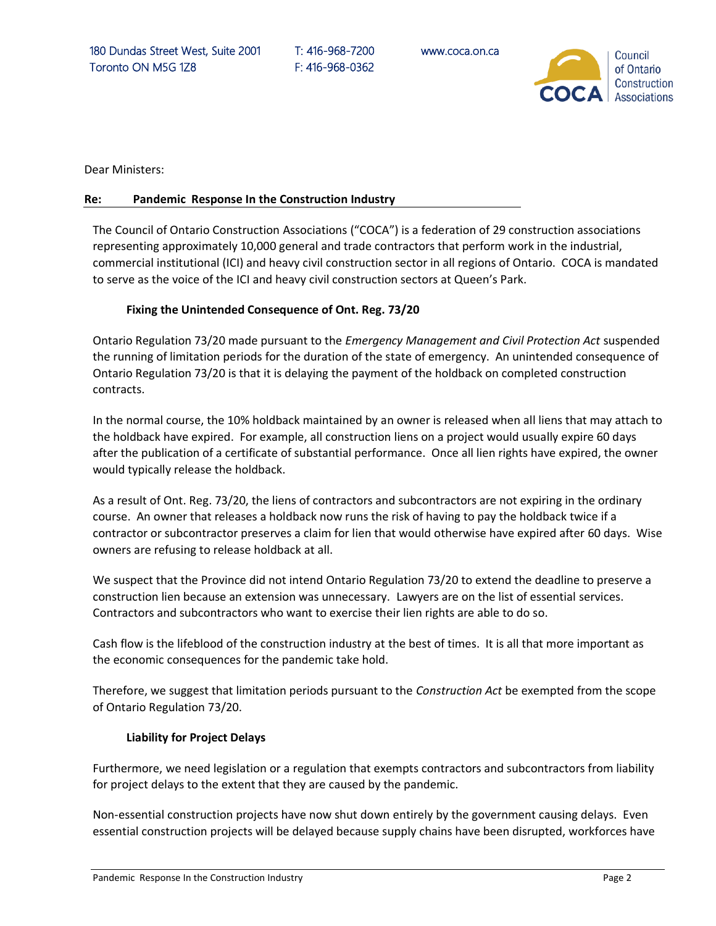180 Dundas Street West, Suite 2001 T: 416-968-7200 www.coca.on.ca Toronto ON M5G 1Z8 F: 416-968-0362



Dear Ministers:

## **Re: Pandemic Response In the Construction Industry**

The Council of Ontario Construction Associations ("COCA") is a federation of 29 construction associations representing approximately 10,000 general and trade contractors that perform work in the industrial, commercial institutional (ICI) and heavy civil construction sector in all regions of Ontario. COCA is mandated to serve as the voice of the ICI and heavy civil construction sectors at Queen's Park.

## **Fixing the Unintended Consequence of Ont. Reg. 73/20**

Ontario Regulation 73/20 made pursuant to the *Emergency Management and Civil Protection Act* suspended the running of limitation periods for the duration of the state of emergency. An unintended consequence of Ontario Regulation 73/20 is that it is delaying the payment of the holdback on completed construction contracts.

In the normal course, the 10% holdback maintained by an owner is released when all liens that may attach to the holdback have expired. For example, all construction liens on a project would usually expire 60 days after the publication of a certificate of substantial performance. Once all lien rights have expired, the owner would typically release the holdback.

As a result of Ont. Reg. 73/20, the liens of contractors and subcontractors are not expiring in the ordinary course. An owner that releases a holdback now runs the risk of having to pay the holdback twice if a contractor or subcontractor preserves a claim for lien that would otherwise have expired after 60 days. Wise owners are refusing to release holdback at all.

We suspect that the Province did not intend Ontario Regulation 73/20 to extend the deadline to preserve a construction lien because an extension was unnecessary. Lawyers are on the list of essential services. Contractors and subcontractors who want to exercise their lien rights are able to do so.

Cash flow is the lifeblood of the construction industry at the best of times. It is all that more important as the economic consequences for the pandemic take hold.

Therefore, we suggest that limitation periods pursuant to the *Construction Act* be exempted from the scope of Ontario Regulation 73/20.

## **Liability for Project Delays**

Furthermore, we need legislation or a regulation that exempts contractors and subcontractors from liability for project delays to the extent that they are caused by the pandemic.

Non-essential construction projects have now shut down entirely by the government causing delays. Even essential construction projects will be delayed because supply chains have been disrupted, workforces have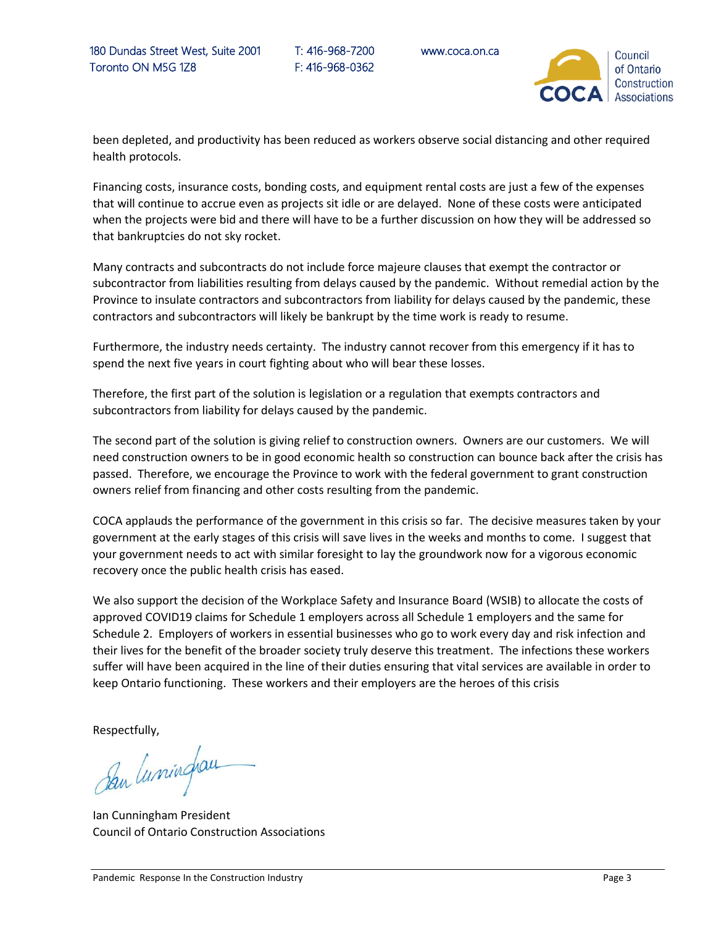

been depleted, and productivity has been reduced as workers observe social distancing and other required health protocols.

Financing costs, insurance costs, bonding costs, and equipment rental costs are just a few of the expenses that will continue to accrue even as projects sit idle or are delayed. None of these costs were anticipated when the projects were bid and there will have to be a further discussion on how they will be addressed so that bankruptcies do not sky rocket.

Many contracts and subcontracts do not include force majeure clauses that exempt the contractor or subcontractor from liabilities resulting from delays caused by the pandemic. Without remedial action by the Province to insulate contractors and subcontractors from liability for delays caused by the pandemic, these contractors and subcontractors will likely be bankrupt by the time work is ready to resume.

Furthermore, the industry needs certainty. The industry cannot recover from this emergency if it has to spend the next five years in court fighting about who will bear these losses.

Therefore, the first part of the solution is legislation or a regulation that exempts contractors and subcontractors from liability for delays caused by the pandemic.

The second part of the solution is giving relief to construction owners. Owners are our customers. We will need construction owners to be in good economic health so construction can bounce back after the crisis has passed. Therefore, we encourage the Province to work with the federal government to grant construction owners relief from financing and other costs resulting from the pandemic.

COCA applauds the performance of the government in this crisis so far. The decisive measures taken by your government at the early stages of this crisis will save lives in the weeks and months to come. I suggest that your government needs to act with similar foresight to lay the groundwork now for a vigorous economic recovery once the public health crisis has eased.

We also support the decision of the Workplace Safety and Insurance Board (WSIB) to allocate the costs of approved COVID19 claims for Schedule 1 employers across all Schedule 1 employers and the same for Schedule 2. Employers of workers in essential businesses who go to work every day and risk infection and their lives for the benefit of the broader society truly deserve this treatment. The infections these workers suffer will have been acquired in the line of their duties ensuring that vital services are available in order to keep Ontario functioning. These workers and their employers are the heroes of this crisis

Respectfully,

Den luminghau

Ian Cunningham President Council of Ontario Construction Associations